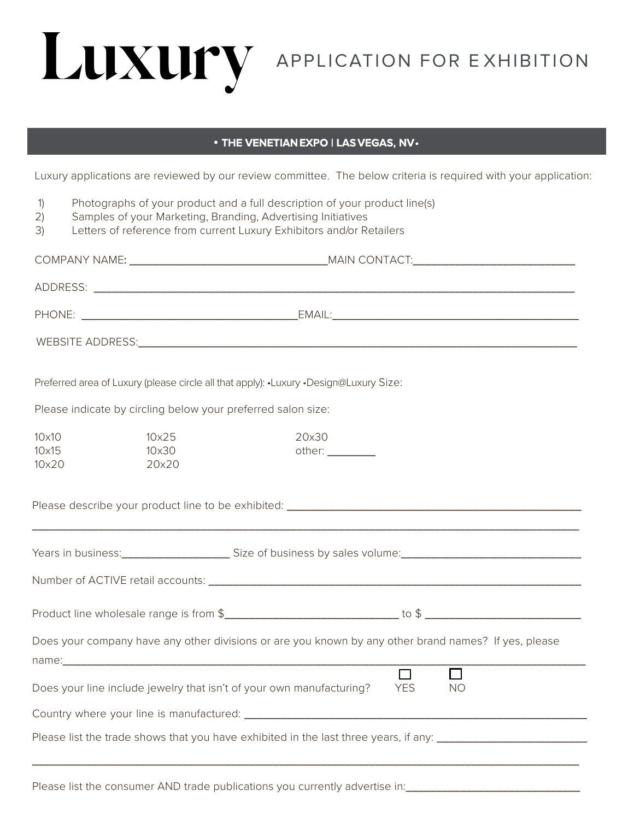

## • **THE VENETIAN EXPO | LAS VEGAS, NV •**

Luxury applications are reviewed by our review committee. The below criteria is required with your application:

- 1) Photographs of your product and a full description of your product line(s)
- 2) Samples of your Marketing, Branding, Advertising Initiatives
- 3) Letters of reference from current Luxury Exhibitors and/or Retailers

|                                                                                                                |                                | Preferred area of Luxury (please circle all that apply): .Luxury .Design@Luxury Size:                                                                                                                                                                                                                                                                                                                                             |            |           |  |
|----------------------------------------------------------------------------------------------------------------|--------------------------------|-----------------------------------------------------------------------------------------------------------------------------------------------------------------------------------------------------------------------------------------------------------------------------------------------------------------------------------------------------------------------------------------------------------------------------------|------------|-----------|--|
| Please indicate by circling below your preferred salon size:                                                   |                                |                                                                                                                                                                                                                                                                                                                                                                                                                                   |            |           |  |
| $10\times10$<br>$10\times15$<br>10×20                                                                          | $10\times25$<br>10×30<br>20×20 | 20×30<br>other: $\frac{1}{\sqrt{1-\frac{1}{2}}}\frac{1}{\sqrt{1-\frac{1}{2}}}\frac{1}{\sqrt{1-\frac{1}{2}}}\frac{1}{\sqrt{1-\frac{1}{2}}}\frac{1}{\sqrt{1-\frac{1}{2}}}\frac{1}{\sqrt{1-\frac{1}{2}}}\frac{1}{\sqrt{1-\frac{1}{2}}}\frac{1}{\sqrt{1-\frac{1}{2}}}\frac{1}{\sqrt{1-\frac{1}{2}}}\frac{1}{\sqrt{1-\frac{1}{2}}}\frac{1}{\sqrt{1-\frac{1}{2}}}\frac{1}{\sqrt{1-\frac{1}{2}}}\frac{1}{\sqrt{1-\frac{1}{2}}}\frac{1}{$ |            |           |  |
|                                                                                                                |                                |                                                                                                                                                                                                                                                                                                                                                                                                                                   |            |           |  |
|                                                                                                                |                                | Years in business: __________________________Size of business by sales volume: _______________________________                                                                                                                                                                                                                                                                                                                    |            |           |  |
|                                                                                                                |                                |                                                                                                                                                                                                                                                                                                                                                                                                                                   |            |           |  |
|                                                                                                                |                                |                                                                                                                                                                                                                                                                                                                                                                                                                                   |            |           |  |
|                                                                                                                |                                | Does your company have any other divisions or are you known by any other brand names? If yes, please                                                                                                                                                                                                                                                                                                                              |            |           |  |
|                                                                                                                |                                | Does your line include jewelry that isn't of your own manufacturing?                                                                                                                                                                                                                                                                                                                                                              | <b>YES</b> | <b>NO</b> |  |
|                                                                                                                |                                |                                                                                                                                                                                                                                                                                                                                                                                                                                   |            |           |  |
| Please list the trade shows that you have exhibited in the last three years, if any: _________________________ |                                |                                                                                                                                                                                                                                                                                                                                                                                                                                   |            |           |  |
|                                                                                                                |                                |                                                                                                                                                                                                                                                                                                                                                                                                                                   |            |           |  |

Please list the consumer AND trade publications you currently advertise in: